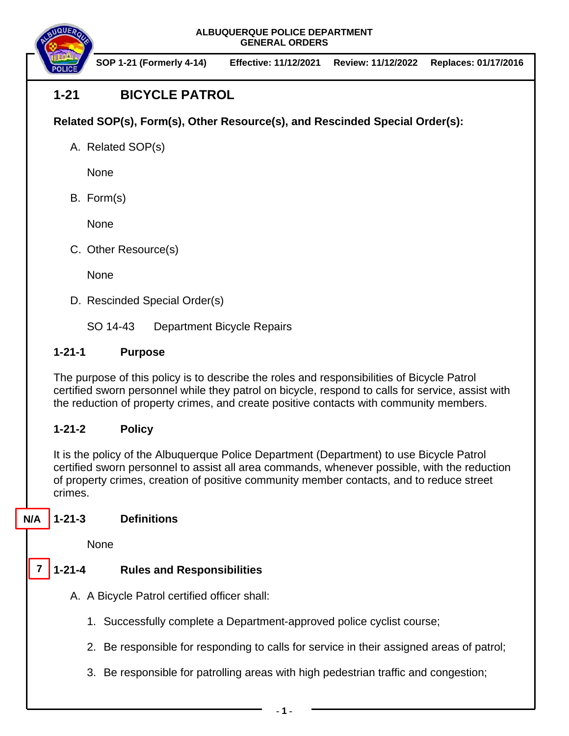**ALBUQUERQUE POLICE DEPARTMENT GENERAL ORDERS**



 **SOP 1-21 (Formerly 4-14) Effective: 11/12/2021 Review: 11/12/2022 Replaces: 01/17/2016**

# **1-21 BICYCLE PATROL**

**Related SOP(s), Form(s), Other Resource(s), and Rescinded Special Order(s):**

A. Related SOP(s)

None

B. Form(s)

None

C. Other Resource(s)

**None** 

D. Rescinded Special Order(s)

SO 14-43 Department Bicycle Repairs

#### **1-21-1 Purpose**

The purpose of this policy is to describe the roles and responsibilities of Bicycle Patrol certified sworn personnel while they patrol on bicycle, respond to calls for service, assist with the reduction of property crimes, and create positive contacts with community members.

## **1-21-2 Policy**

It is the policy of the Albuquerque Police Department (Department) to use Bicycle Patrol certified sworn personnel to assist all area commands, whenever possible, with the reduction of property crimes, creation of positive community member contacts, and to reduce street crimes.

**1-21-3 Definitions N/A**

None

**7**

## **1-21-4 Rules and Responsibilities**

- A. A Bicycle Patrol certified officer shall:
	- 1. Successfully complete a Department-approved police cyclist course;
	- 2. Be responsible for responding to calls for service in their assigned areas of patrol;
	- 3. Be responsible for patrolling areas with high pedestrian traffic and congestion;